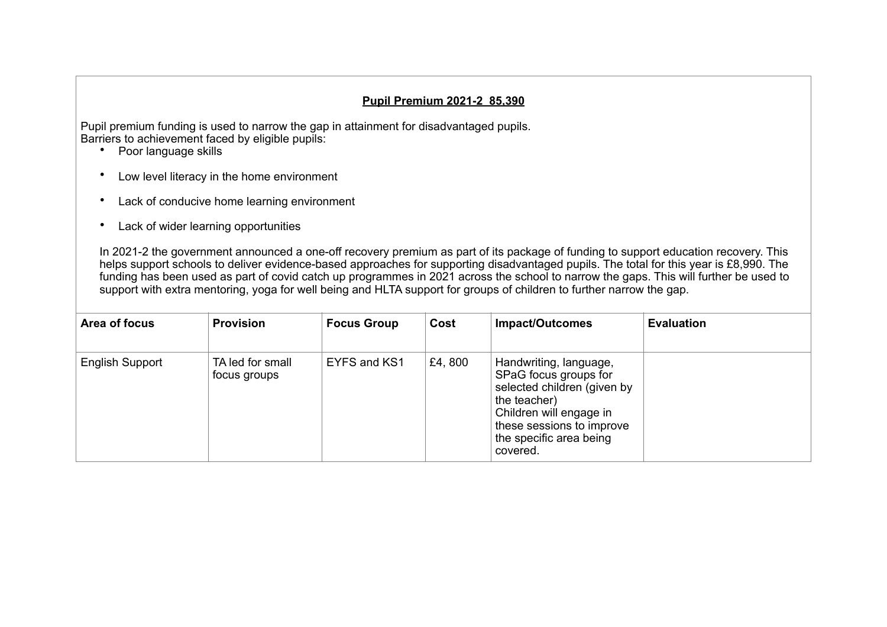## **Pupil Premium 2021-2 85,390**

Pupil premium funding is used to narrow the gap in attainment for disadvantaged pupils. Barriers to achievement faced by eligible pupils:

- Poor language skills
- Low level literacy in the home environment
- Lack of conducive home learning environment
- Lack of wider learning opportunities

In 2021-2 the government announced a one-off recovery premium as part of its package of funding to support education recovery. This helps support schools to deliver evidence-based approaches for supporting disadvantaged pupils. The total for this year is £8,990. The funding has been used as part of covid catch up programmes in 2021 across the school to narrow the gaps. This will further be used to support with extra mentoring, yoga for well being and HLTA support for groups of children to further narrow the gap.

| Area of focus   | <b>Provision</b>                 | <b>Focus Group</b> | Cost   | <b>Impact/Outcomes</b>                                                                                                                                                                        | <b>Evaluation</b> |
|-----------------|----------------------------------|--------------------|--------|-----------------------------------------------------------------------------------------------------------------------------------------------------------------------------------------------|-------------------|
| English Support | TA led for small<br>focus groups | EYFS and KS1       | £4,800 | Handwriting, language,<br>SPaG focus groups for<br>selected children (given by<br>the teacher)<br>Children will engage in<br>these sessions to improve<br>the specific area being<br>covered. |                   |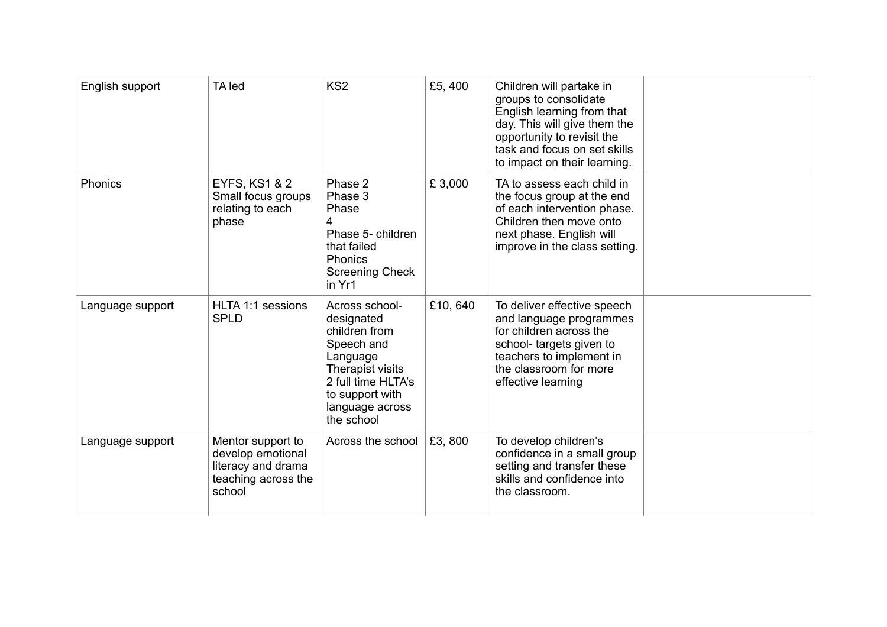| English support  | TA led                                                                                        | KS <sub>2</sub>                                                                                                                                                       | £5,400  | Children will partake in<br>groups to consolidate<br>English learning from that<br>day. This will give them the<br>opportunity to revisit the<br>task and focus on set skills<br>to impact on their learning. |  |
|------------------|-----------------------------------------------------------------------------------------------|-----------------------------------------------------------------------------------------------------------------------------------------------------------------------|---------|---------------------------------------------------------------------------------------------------------------------------------------------------------------------------------------------------------------|--|
| <b>Phonics</b>   | <b>EYFS, KS1 &amp; 2</b><br>Small focus groups<br>relating to each<br>phase                   | Phase 2<br>Phase 3<br>Phase<br>4<br>Phase 5- children<br>that failed<br><b>Phonics</b><br><b>Screening Check</b><br>in Yr1                                            | £3,000  | TA to assess each child in<br>the focus group at the end<br>of each intervention phase.<br>Children then move onto<br>next phase. English will<br>improve in the class setting.                               |  |
| Language support | HLTA 1:1 sessions<br><b>SPLD</b>                                                              | Across school-<br>designated<br>children from<br>Speech and<br>Language<br>Therapist visits<br>2 full time HLTA's<br>to support with<br>language across<br>the school | £10,640 | To deliver effective speech<br>and language programmes<br>for children across the<br>school- targets given to<br>teachers to implement in<br>the classroom for more<br>effective learning                     |  |
| Language support | Mentor support to<br>develop emotional<br>literacy and drama<br>teaching across the<br>school | Across the school                                                                                                                                                     | £3,800  | To develop children's<br>confidence in a small group<br>setting and transfer these<br>skills and confidence into<br>the classroom.                                                                            |  |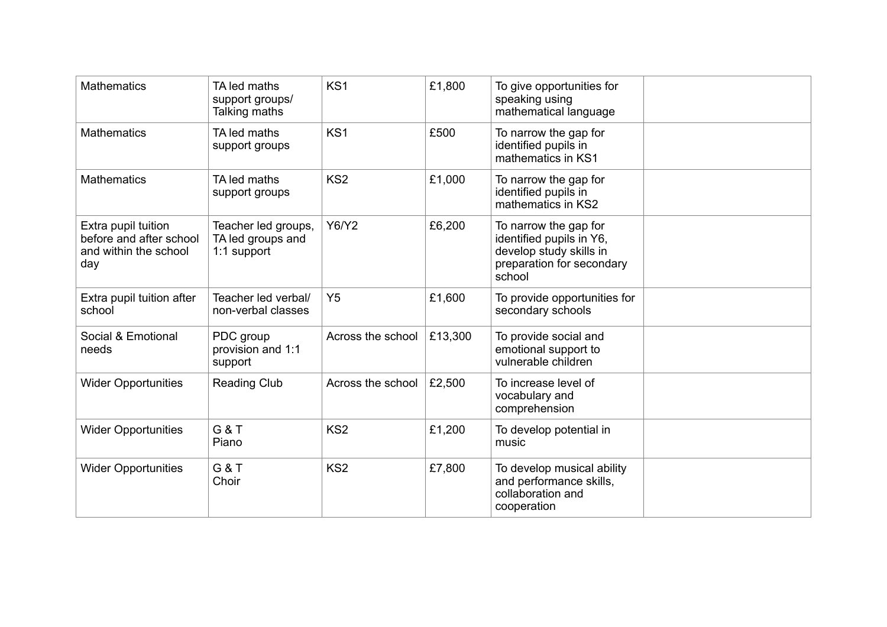| <b>Mathematics</b>                                                             | TA led maths<br>support groups/<br>Talking maths        | KS <sub>1</sub>   | £1,800  | To give opportunities for<br>speaking using<br>mathematical language                                                |  |
|--------------------------------------------------------------------------------|---------------------------------------------------------|-------------------|---------|---------------------------------------------------------------------------------------------------------------------|--|
| <b>Mathematics</b>                                                             | TA led maths<br>support groups                          | KS <sub>1</sub>   | £500    | To narrow the gap for<br>identified pupils in<br>mathematics in KS1                                                 |  |
| <b>Mathematics</b>                                                             | TA led maths<br>support groups                          | KS <sub>2</sub>   | £1,000  | To narrow the gap for<br>identified pupils in<br>mathematics in KS2                                                 |  |
| Extra pupil tuition<br>before and after school<br>and within the school<br>day | Teacher led groups,<br>TA led groups and<br>1:1 support | Y6/Y2             | £6,200  | To narrow the gap for<br>identified pupils in Y6,<br>develop study skills in<br>preparation for secondary<br>school |  |
| Extra pupil tuition after<br>school                                            | Teacher led verbal/<br>non-verbal classes               | Y <sub>5</sub>    | £1,600  | To provide opportunities for<br>secondary schools                                                                   |  |
| Social & Emotional<br>needs                                                    | PDC group<br>provision and 1:1<br>support               | Across the school | £13,300 | To provide social and<br>emotional support to<br>vulnerable children                                                |  |
| <b>Wider Opportunities</b>                                                     | <b>Reading Club</b>                                     | Across the school | £2,500  | To increase level of<br>vocabulary and<br>comprehension                                                             |  |
| <b>Wider Opportunities</b>                                                     | <b>G &amp; T</b><br>Piano                               | KS <sub>2</sub>   | £1,200  | To develop potential in<br>music                                                                                    |  |
| <b>Wider Opportunities</b>                                                     | <b>G &amp; T</b><br>Choir                               | KS <sub>2</sub>   | £7,800  | To develop musical ability<br>and performance skills,<br>collaboration and<br>cooperation                           |  |